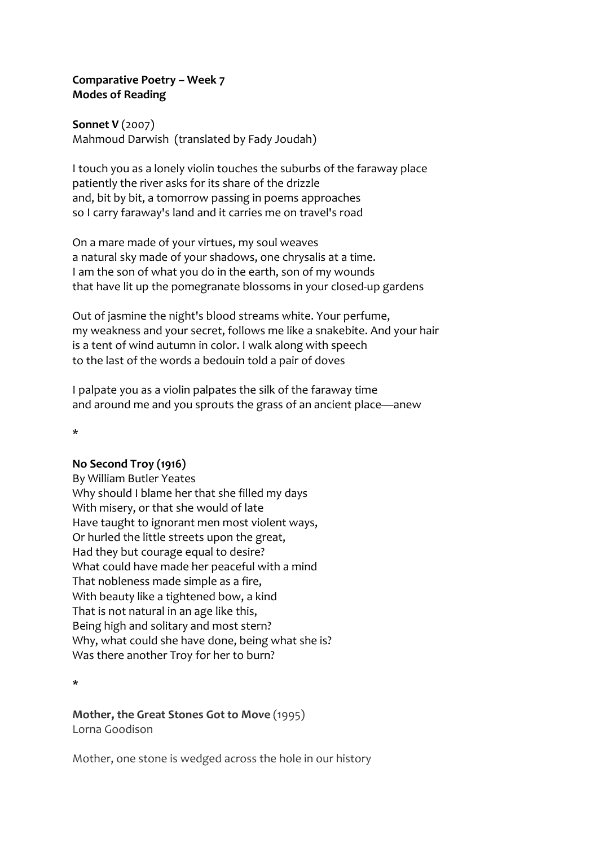## **Comparative Poetry – Week 7 Modes of Reading**

**Sonnet V** (2007) [Mahmoud Darwish](https://poets.org/poet/mahmoud-darwish) (translated by Fady Joudah)

I touch you as a lonely violin touches the suburbs of the faraway place patiently the river asks for its share of the drizzle and, bit by bit, a tomorrow passing in poems approaches so I carry faraway's land and it carries me on travel's road

On a mare made of your virtues, my soul weaves a natural sky made of your shadows, one chrysalis at a time. I am the son of what you do in the earth, son of my wounds that have lit up the pomegranate blossoms in your closed-up gardens

Out of jasmine the night's blood streams white. Your perfume, my weakness and your secret, follows me like a snakebite. And your hair is a tent of wind autumn in color. I walk along with speech to the last of the words a bedouin told a pair of doves

I palpate you as a violin palpates the silk of the faraway time and around me and you sprouts the grass of an ancient place—anew

\*

## **No Second Troy (1916)**

By William Butler Yeates Why should I blame her that she filled my days With misery, or that she would of late Have taught to ignorant men most violent ways, Or hurled the little streets upon the great, Had they but courage equal to desire? What could have made her peaceful with a mind That nobleness made simple as a fire, With beauty like a tightened bow, a kind That is not natural in an age like this, Being high and solitary and most stern? Why, what could she have done, being what she is? Was there another Troy for her to burn?

\*

**Mother, the Great Stones Got to Move** (1995) Lorna Goodison

Mother, one stone is wedged across the hole in our history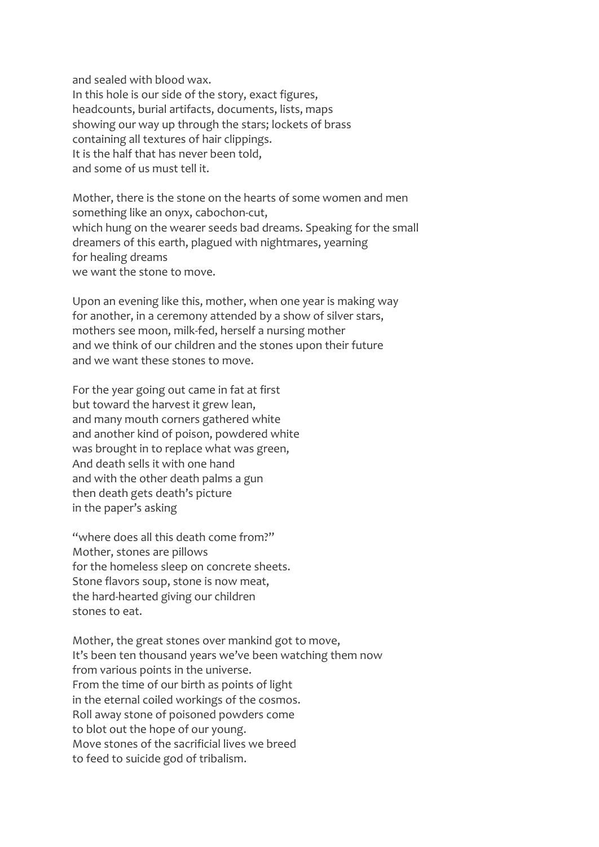and sealed with blood wax. In this hole is our side of the story, exact figures, headcounts, burial artifacts, documents, lists, maps showing our way up through the stars; lockets of brass containing all textures of hair clippings. It is the half that has never been told, and some of us must tell it.

Mother, there is the stone on the hearts of some women and men something like an onyx, cabochon-cut, which hung on the wearer seeds bad dreams. Speaking for the small dreamers of this earth, plagued with nightmares, yearning for healing dreams we want the stone to move.

Upon an evening like this, mother, when one year is making way for another, in a ceremony attended by a show of silver stars, mothers see moon, milk-fed, herself a nursing mother and we think of our children and the stones upon their future and we want these stones to move.

For the year going out came in fat at first but toward the harvest it grew lean, and many mouth corners gathered white and another kind of poison, powdered white was brought in to replace what was green, And death sells it with one hand and with the other death palms a gun then death gets death's picture in the paper's asking

"where does all this death come from?" Mother, stones are pillows for the homeless sleep on concrete sheets. Stone flavors soup, stone is now meat, the hard-hearted giving our children stones to eat.

Mother, the great stones over mankind got to move, It's been ten thousand years we've been watching them now from various points in the universe. From the time of our birth as points of light in the eternal coiled workings of the cosmos. Roll away stone of poisoned powders come to blot out the hope of our young. Move stones of the sacrificial lives we breed to feed to suicide god of tribalism.